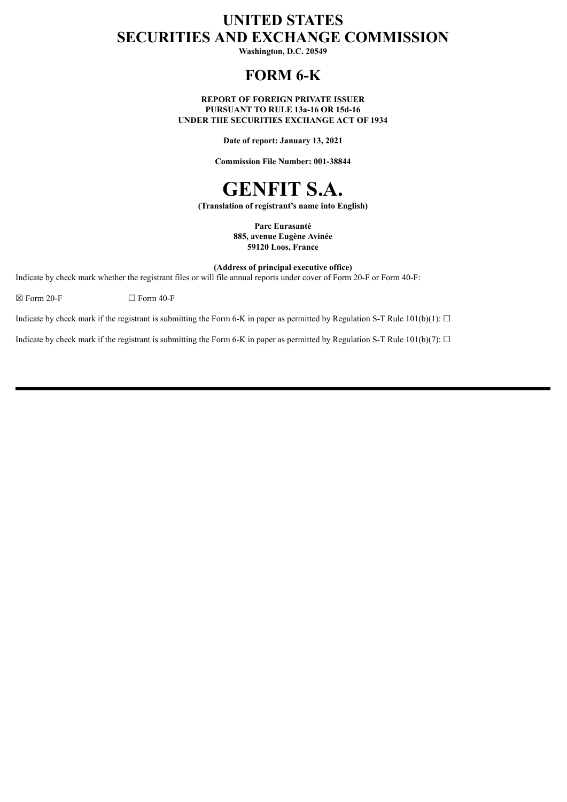# **UNITED STATES SECURITIES AND EXCHANGE COMMISSION**

**Washington, D.C. 20549**

# **FORM 6-K**

**REPORT OF FOREIGN PRIVATE ISSUER PURSUANT TO RULE 13a-16 OR 15d-16 UNDER THE SECURITIES EXCHANGE ACT OF 1934**

**Date of report: January 13, 2021**

**Commission File Number: 001-38844**

# **GENFIT S.A.**

**(Translation of registrant's name into English)**

**Parc Eurasanté 885, avenue Eugène Avinée 59120 Loos, France**

**(Address of principal executive office)**

Indicate by check mark whether the registrant files or will file annual reports under cover of Form 20-F or Form 40-F:

 $\boxtimes$  Form 20-F  $\Box$  Form 40-F

Indicate by check mark if the registrant is submitting the Form 6-K in paper as permitted by Regulation S-T Rule 101(b)(1):  $\Box$ 

Indicate by check mark if the registrant is submitting the Form 6-K in paper as permitted by Regulation S-T Rule 101(b)(7):  $\Box$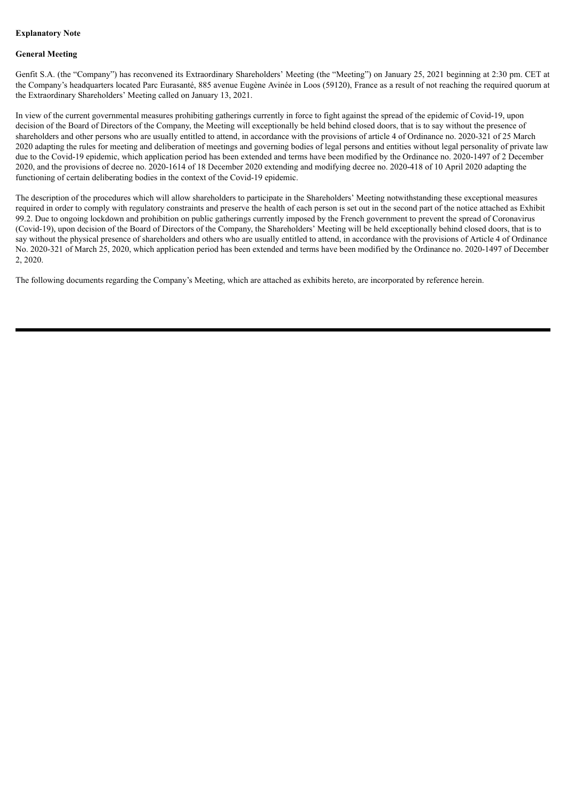# **Explanatory Note**

# **General Meeting**

Genfit S.A. (the "Company") has reconvened its Extraordinary Shareholders' Meeting (the "Meeting") on January 25, 2021 beginning at 2:30 pm. CET at the Company's headquarters located Parc Eurasanté, 885 avenue Eugène Avinée in Loos (59120), France as a result of not reaching the required quorum at the Extraordinary Shareholders' Meeting called on January 13, 2021.

In view of the current governmental measures prohibiting gatherings currently in force to fight against the spread of the epidemic of Covid-19, upon decision of the Board of Directors of the Company, the Meeting will exceptionally be held behind closed doors, that is to say without the presence of shareholders and other persons who are usually entitled to attend, in accordance with the provisions of article 4 of Ordinance no. 2020-321 of 25 March 2020 adapting the rules for meeting and deliberation of meetings and governing bodies of legal persons and entities without legal personality of private law due to the Covid-19 epidemic, which application period has been extended and terms have been modified by the Ordinance no. 2020-1497 of 2 December 2020, and the provisions of decree no. 2020-1614 of 18 December 2020 extending and modifying decree no. 2020-418 of 10 April 2020 adapting the functioning of certain deliberating bodies in the context of the Covid-19 epidemic.

The description of the procedures which will allow shareholders to participate in the Shareholders' Meeting notwithstanding these exceptional measures required in order to comply with regulatory constraints and preserve the health of each person is set out in the second part of the notice attached as Exhibit 99.2. Due to ongoing lockdown and prohibition on public gatherings currently imposed by the French government to prevent the spread of Coronavirus (Covid-19), upon decision of the Board of Directors of the Company, the Shareholders' Meeting will be held exceptionally behind closed doors, that is to say without the physical presence of shareholders and others who are usually entitled to attend, in accordance with the provisions of Article 4 of Ordinance No. 2020-321 of March 25, 2020, which application period has been extended and terms have been modified by the Ordinance no. 2020-1497 of December 2, 2020.

The following documents regarding the Company's Meeting, which are attached as exhibits hereto, are incorporated by reference herein.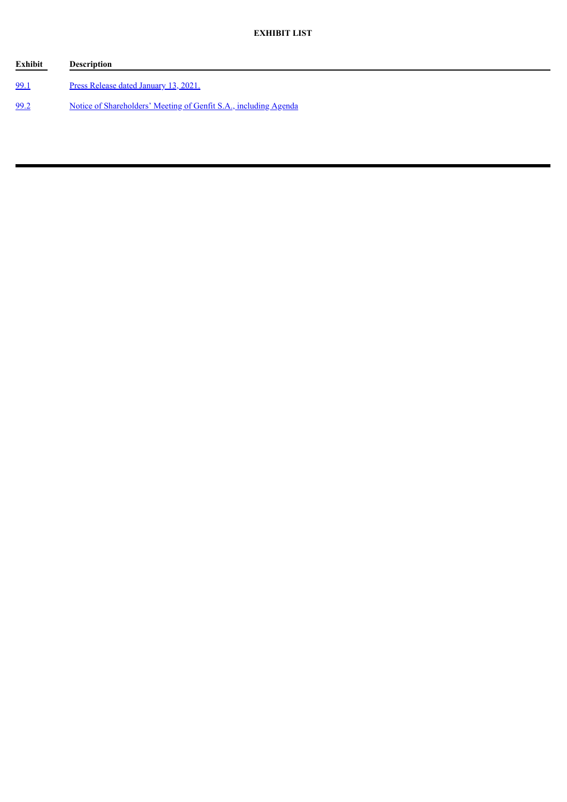| Exhibit | <b>Description</b>                                               |
|---------|------------------------------------------------------------------|
| 99.1    | Press Release dated January 13, 2021.                            |
| 99.2    | Notice of Shareholders' Meeting of Genfit S.A., including Agenda |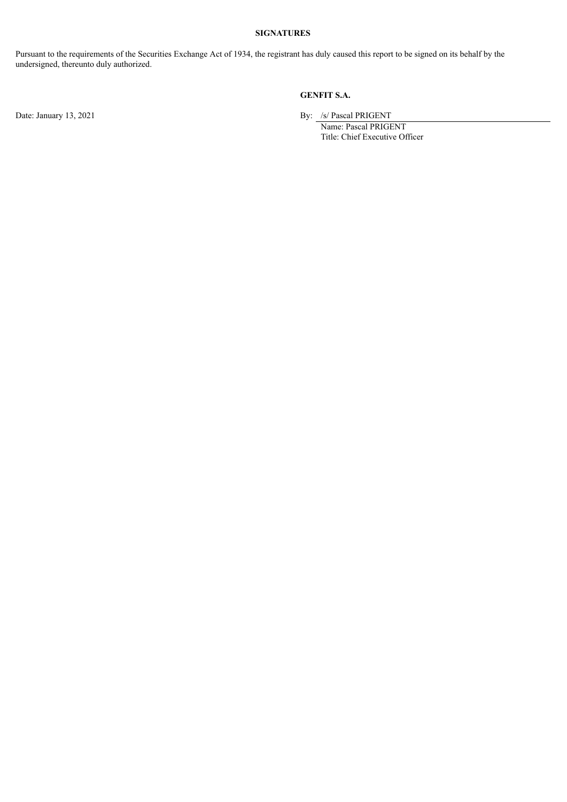# **SIGNATURES**

Pursuant to the requirements of the Securities Exchange Act of 1934, the registrant has duly caused this report to be signed on its behalf by the undersigned, thereunto duly authorized.

# **GENFIT S.A.**

Date: January 13, 2021 By: /s/ Pascal PRIGENT

Name: Pascal PRIGENT Title: Chief Executive Officer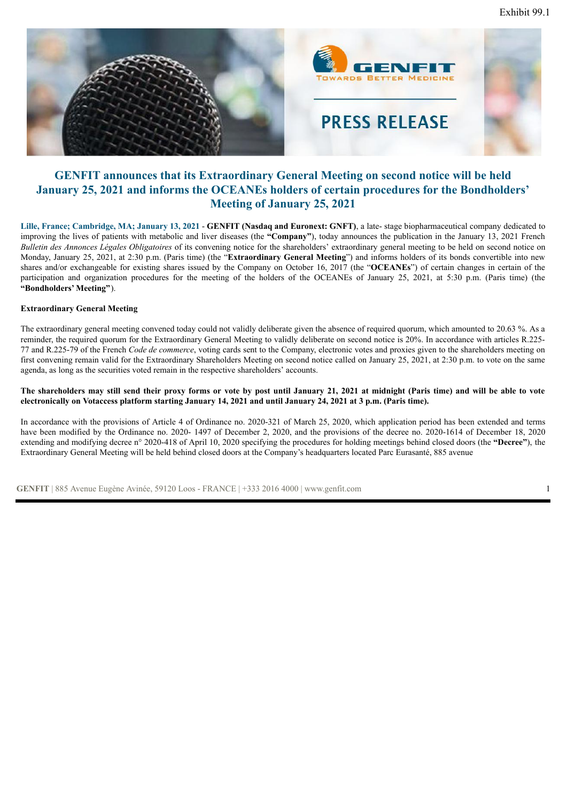Exhibit 99.1

<span id="page-4-0"></span>

# **GENFIT announces that its Extraordinary General Meeting on second notice will be held January 25, 2021 and informs the OCEANEs holders of certain procedures for the Bondholders' Meeting of January 25, 2021**

**Lille, France; Cambridge, MA; January 13, 2021** - **GENFIT (Nasdaq and Euronext: GNFT)**, a late- stage biopharmaceutical company dedicated to improving the lives of patients with metabolic and liver diseases (the **"Company"**), today announces the publication in the January 13, 2021 French *Bulletin des Annonces Légales Obligatoires* of its convening notice for the shareholders' extraordinary general meeting to be held on second notice on Monday, January 25, 2021, at 2:30 p.m. (Paris time) (the "**Extraordinary General Meeting**") and informs holders of its bonds convertible into new shares and/or exchangeable for existing shares issued by the Company on October 16, 2017 (the "**OCEANEs**") of certain changes in certain of the participation and organization procedures for the meeting of the holders of the OCEANEs of January 25, 2021, at 5:30 p.m. (Paris time) (the **"Bondholders' Meeting"**).

# **Extraordinary General Meeting**

The extraordinary general meeting convened today could not validly deliberate given the absence of required quorum, which amounted to 20.63 %. As a reminder, the required quorum for the Extraordinary General Meeting to validly deliberate on second notice is 20%. In accordance with articles R.225- 77 and R.225-79 of the French *Code de commerce*, voting cards sent to the Company, electronic votes and proxies given to the shareholders meeting on first convening remain valid for the Extraordinary Shareholders Meeting on second notice called on January 25, 2021, at 2:30 p.m. to vote on the same agenda, as long as the securities voted remain in the respective shareholders' accounts.

# The shareholders may still send their proxy forms or vote by post until January 21, 2021 at midnight (Paris time) and will be able to vote electronically on Votaccess platform starting January 14, 2021 and until January 24, 2021 at 3 p.m. (Paris time).

In accordance with the provisions of Article 4 of Ordinance no. 2020-321 of March 25, 2020, which application period has been extended and terms have been modified by the Ordinance no. 2020- 1497 of December 2, 2020, and the provisions of the decree no. 2020-1614 of December 18, 2020 extending and modifying decree n° 2020-418 of April 10, 2020 specifying the procedures for holding meetings behind closed doors (the **"Decree"**), the Extraordinary General Meeting will be held behind closed doors at the Company's headquarters located Parc Eurasanté, 885 avenue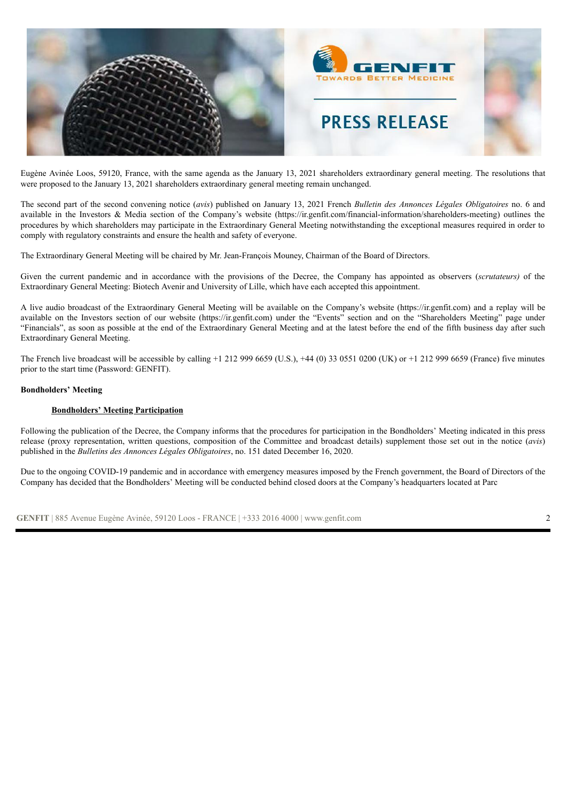

Eugène Avinée Loos, 59120, France, with the same agenda as the January 13, 2021 shareholders extraordinary general meeting. The resolutions that were proposed to the January 13, 2021 shareholders extraordinary general meeting remain unchanged.

The second part of the second convening notice (*avis*) published on January 13, 2021 French *Bulletin des Annonces Légales Obligatoires* no. 6 and available in the Investors & Media section of the Company's website (https://ir.genfit.com/financial-information/shareholders-meeting) outlines the procedures by which shareholders may participate in the Extraordinary General Meeting notwithstanding the exceptional measures required in order to comply with regulatory constraints and ensure the health and safety of everyone.

The Extraordinary General Meeting will be chaired by Mr. Jean-François Mouney, Chairman of the Board of Directors.

Given the current pandemic and in accordance with the provisions of the Decree, the Company has appointed as observers (*scrutateurs)* of the Extraordinary General Meeting: Biotech Avenir and University of Lille, which have each accepted this appointment.

A live audio broadcast of the Extraordinary General Meeting will be available on the Company's website (https://ir.genfit.com) and a replay will be available on the Investors section of our website (https://ir.genfit.com) under the "Events" section and on the "Shareholders Meeting" page under "Financials", as soon as possible at the end of the Extraordinary General Meeting and at the latest before the end of the fifth business day after such Extraordinary General Meeting.

The French live broadcast will be accessible by calling +1 212 999 6659 (U.S.), +44 (0) 33 0551 0200 (UK) or +1 212 999 6659 (France) five minutes prior to the start time (Password: GENFIT).

# **Bondholders' Meeting**

# **Bondholders' Meeting Participation**

Following the publication of the Decree, the Company informs that the procedures for participation in the Bondholders' Meeting indicated in this press release (proxy representation, written questions, composition of the Committee and broadcast details) supplement those set out in the notice (*avis*) published in the *Bulletins des Annonces Légales Obligatoires*, no. 151 dated December 16, 2020.

Due to the ongoing COVID-19 pandemic and in accordance with emergency measures imposed by the French government, the Board of Directors of the Company has decided that the Bondholders' Meeting will be conducted behind closed doors at the Company's headquarters located at Parc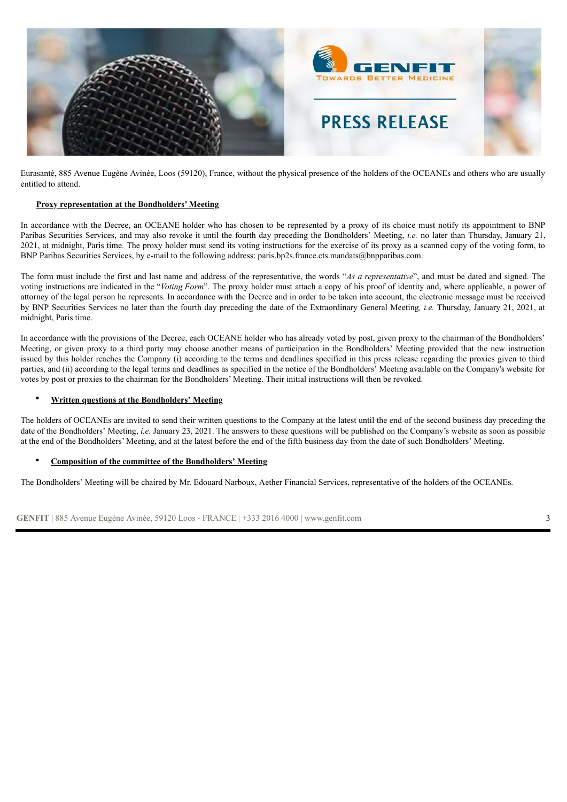

Eurasanté, 885 Avenue Eugène Avinée, Loos (59120), France, without the physical presence of the holders of the OCEANEs and others who are usually entitled to attend.

# **Proxy representation at the Bondholders' Meeting**

In accordance with the Decree, an OCEANE holder who has chosen to be represented by a proxy of its choice must notify its appointment to BNP Paribas Securities Services, and may also revoke it until the fourth day preceding the Bondholders' Meeting, *i.e.* no later than Thursday, January 21, 2021, at midnight, Paris time. The proxy holder must send its voting instructions for the exercise of its proxy as a scanned copy of the voting form, to BNP Paribas Securities Services, by e-mail to the following address: paris.bp2s.france.cts.mandats@bnpparibas.com.

The form must include the first and last name and address of the representative, the words "*As a representative*", and must be dated and signed. The voting instructions are indicated in the "*Voting Form*". The proxy holder must attach a copy of his proof of identity and, where applicable, a power of attorney of the legal person he represents. In accordance with the Decree and in order to be taken into account, the electronic message must be received by BNP Securities Services no later than the fourth day preceding the date of the Extraordinary General Meeting*, i.e.* Thursday, January 21, 2021, at midnight, Paris time.

In accordance with the provisions of the Decree, each OCEANE holder who has already voted by post, given proxy to the chairman of the Bondholders' Meeting, or given proxy to a third party may choose another means of participation in the Bondholders' Meeting provided that the new instruction issued by this holder reaches the Company (i) according to the terms and deadlines specified in this press release regarding the proxies given to third parties, and (ii) according to the legal terms and deadlines as specified in the notice of the Bondholders' Meeting available on the Company's website for votes by post or proxies to the chairman for the Bondholders' Meeting. Their initial instructions will then be revoked.

# **Written questions at the Bondholders' Meeting**

The holders of OCEANEs are invited to send their written questions to the Company at the latest until the end of the second business day preceding the date of the Bondholders' Meeting, *i.e.* January 23, 2021. The answers to these questions will be published on the Company's website as soon as possible at the end of the Bondholders' Meeting, and at the latest before the end of the fifth business day from the date of such Bondholders' Meeting.

# **Composition of the committee of the Bondholders' Meeting**

The Bondholders' Meeting will be chaired by Mr. Edouard Narboux, Aether Financial Services, representative of the holders of the OCEANEs.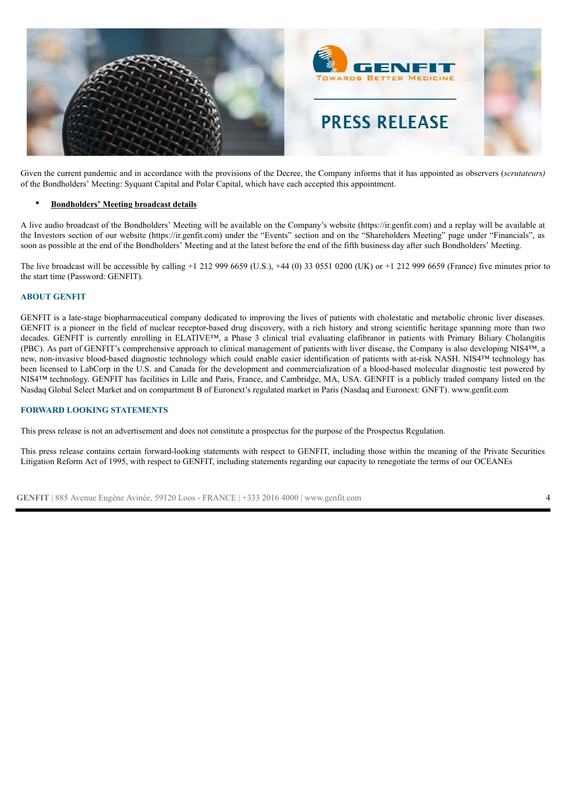

Given the current pandemic and in accordance with the provisions of the Decree, the Company informs that it has appointed as observers (*scrutateurs)* of the Bondholders' Meeting: Syquant Capital and Polar Capital, which have each accepted this appointment.

# **Bondholders' Meeting broadcast details**

A live audio broadcast of the Bondholders' Meeting will be available on the Company's website (https://ir.genfit.com) and a replay will be available at the Investors section of our website (https://ir.genfit.com) under the "Events" section and on the "Shareholders Meeting" page under "Financials", as soon as possible at the end of the Bondholders' Meeting and at the latest before the end of the fifth business day after such Bondholders' Meeting.

The live broadcast will be accessible by calling +1 212 999 6659 (U.S.), +44 (0) 33 0551 0200 (UK) or +1 212 999 6659 (France) five minutes prior to the start time (Password: GENFIT).

# **ABOUT GENFIT**

GENFIT is a late-stage biopharmaceutical company dedicated to improving the lives of patients with cholestatic and metabolic chronic liver diseases. GENFIT is a pioneer in the field of nuclear receptor-based drug discovery, with a rich history and strong scientific heritage spanning more than two decades. GENFIT is currently enrolling in ELATIVE™, a Phase 3 clinical trial evaluating elafibranor in patients with Primary Biliary Cholangitis (PBC). As part of GENFIT's comprehensive approach to clinical management of patients with liver disease, the Company is also developing NIS4™, a new, non-invasive blood-based diagnostic technology which could enable easier identification of patients with at-risk NASH. NIS4™ technology has been licensed to LabCorp in the U.S. and Canada for the development and commercialization of a blood-based molecular diagnostic test powered by NIS4<sup>™</sup> technology. GENFIT has facilities in Lille and Paris, France, and Cambridge, MA, USA. GENFIT is a publicly traded company listed on the Nasdaq Global Select Market and on compartment B of Euronext's regulated market in Paris (Nasdaq and Euronext: GNFT). www.genfit.com

# **FORWARD LOOKING STATEMENTS**

This press release is not an advertisement and does not constitute a prospectus for the purpose of the Prospectus Regulation.

This press release contains certain forward-looking statements with respect to GENFIT, including those within the meaning of the Private Securities Litigation Reform Act of 1995, with respect to GENFIT, including statements regarding our capacity to renegotiate the terms of our OCEANEs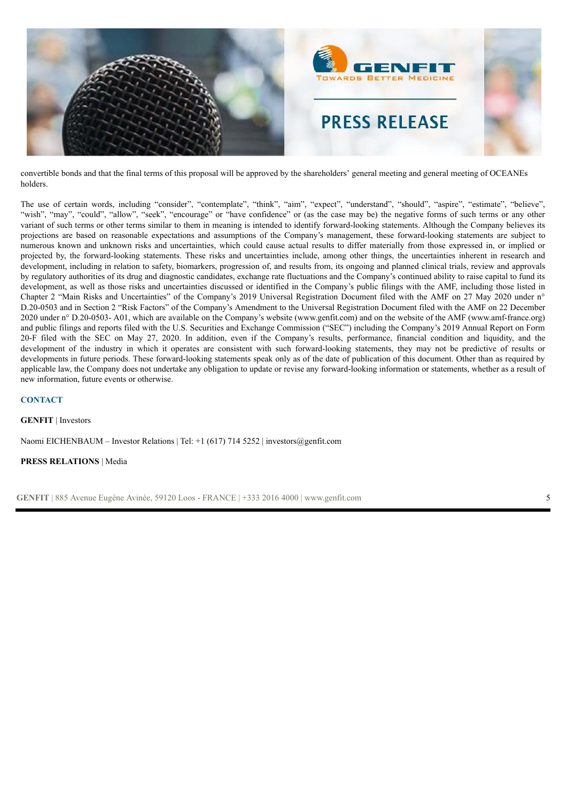

convertible bonds and that the final terms of this proposal will be approved by the shareholders' general meeting and general meeting of OCEANEs holders.

The use of certain words, including "consider", "contemplate", "think", "aim", "expect", "understand", "should", "aspire", "estimate", "believe", "wish", "may", "could", "allow", "seek", "encourage" or "have confidence" or (as the case may be) the negative forms of such terms or any other variant of such terms or other terms similar to them in meaning is intended to identify forward-looking statements. Although the Company believes its projections are based on reasonable expectations and assumptions of the Company's management, these forward-looking statements are subject to numerous known and unknown risks and uncertainties, which could cause actual results to differ materially from those expressed in, or implied or projected by, the forward-looking statements. These risks and uncertainties include, among other things, the uncertainties inherent in research and development, including in relation to safety, biomarkers, progression of, and results from, its ongoing and planned clinical trials, review and approvals by regulatory authorities of its drug and diagnostic candidates, exchange rate fluctuations and the Company's continued ability to raise capital to fund its development, as well as those risks and uncertainties discussed or identified in the Company's public filings with the AMF, including those listed in Chapter 2 "Main Risks and Uncertainties" of the Company's 2019 Universal Registration Document filed with the AMF on 27 May 2020 under n° D.20-0503 and in Section 2 "Risk Factors" of the Company's Amendment to the Universal Registration Document filed with the AMF on 22 December 2020 under n° D.20-0503- A01, which are available on the Company's website (www.genfit.com) and on the website of the AMF (www.amf-france.org) and public filings and reports filed with the U.S. Securities and Exchange Commission ("SEC") including the Company's 2019 Annual Report on Form 20-F filed with the SEC on May 27, 2020. In addition, even if the Company's results, performance, financial condition and liquidity, and the development of the industry in which it operates are consistent with such forward-looking statements, they may not be predictive of results or developments in future periods. These forward-looking statements speak only as of the date of publication of this document. Other than as required by applicable law, the Company does not undertake any obligation to update or revise any forward-looking information or statements, whether as a result of new information, future events or otherwise.

# **CONTACT**

**GENFIT** | Investors

Naomi EICHENBAUM – Investor Relations | Tel: +1 (617) 714 5252 | investors@genfit.com

#### **PRESS RELATIONS** | Media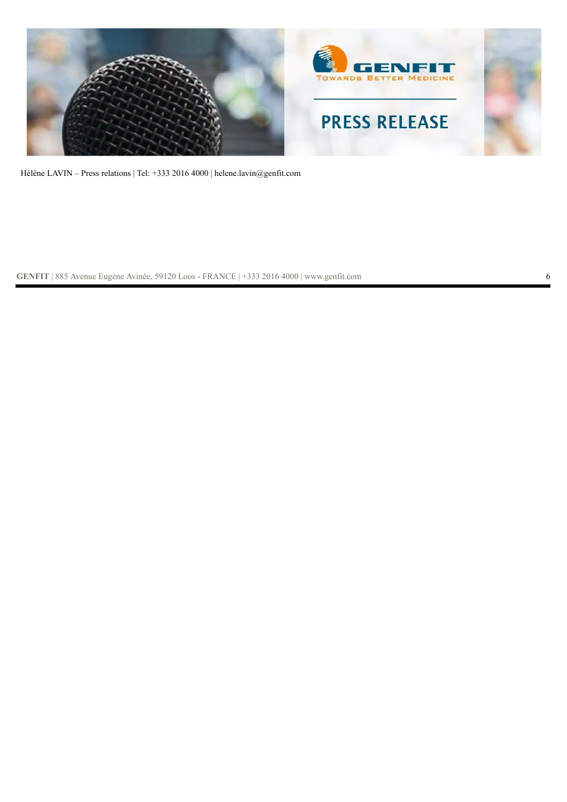

Hélène LAVIN – Press relations | Tel: +333 2016 4000 | helene.lavin@genfit.com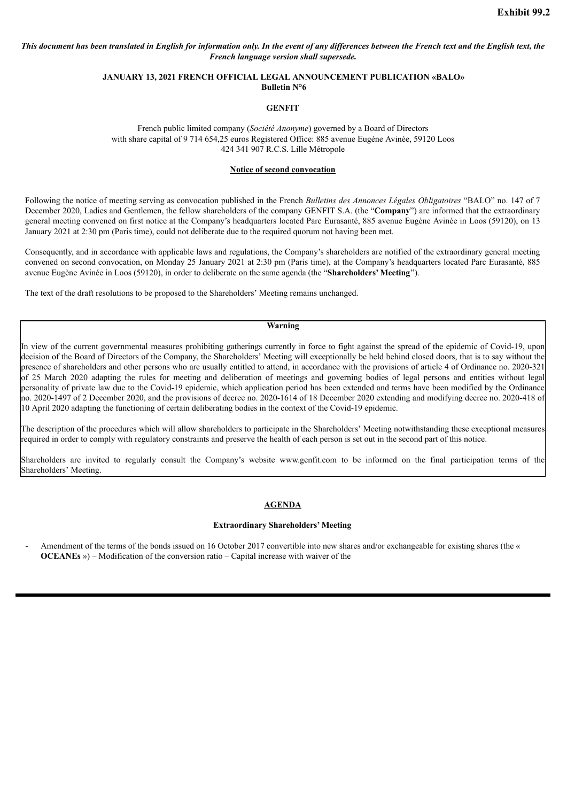<span id="page-10-0"></span>This document has been translated in English for information only. In the event of any differences between the French text and the English text, the *French language version shall supersede.*

# **JANUARY 13, 2021 FRENCH OFFICIAL LEGAL ANNOUNCEMENT PUBLICATION «BALO» Bulletin N°6**

#### **GENFIT**

French public limited company (*Société Anonyme*) governed by a Board of Directors with share capital of 9 714 654,25 euros Registered Office: 885 avenue Eugène Avinée, 59120 Loos 424 341 907 R.C.S. Lille Métropole

#### **Notice of second convocation**

Following the notice of meeting serving as convocation published in the French *Bulletins des Annonces Légales Obligatoires* "BALO" no. 147 of 7 December 2020, Ladies and Gentlemen, the fellow shareholders of the company GENFIT S.A. (the "**Company**") are informed that the extraordinary general meeting convened on first notice at the Company's headquarters located Parc Eurasanté, 885 avenue Eugène Avinée in Loos (59120), on 13 January 2021 at 2:30 pm (Paris time), could not deliberate due to the required quorum not having been met.

Consequently, and in accordance with applicable laws and regulations, the Company's shareholders are notified of the extraordinary general meeting convened on second convocation, on Monday 25 January 2021 at 2:30 pm (Paris time), at the Company's headquarters located Parc Eurasanté, 885 avenue Eugène Avinée in Loos (59120), in order to deliberate on the same agenda (the "**Shareholders' Meeting**").

The text of the draft resolutions to be proposed to the Shareholders' Meeting remains unchanged.

#### **Warning**

In view of the current governmental measures prohibiting gatherings currently in force to fight against the spread of the epidemic of Covid-19, upon decision of the Board of Directors of the Company, the Shareholders' Meeting will exceptionally be held behind closed doors, that is to say without the presence of shareholders and other persons who are usually entitled to attend, in accordance with the provisions of article 4 of Ordinance no. 2020-321 of 25 March 2020 adapting the rules for meeting and deliberation of meetings and governing bodies of legal persons and entities without legal personality of private law due to the Covid-19 epidemic, which application period has been extended and terms have been modified by the Ordinance no. 2020-1497 of 2 December 2020, and the provisions of decree no. 2020-1614 of 18 December 2020 extending and modifying decree no. 2020-418 of 10 April 2020 adapting the functioning of certain deliberating bodies in the context of the Covid-19 epidemic.

The description of the procedures which will allow shareholders to participate in the Shareholders' Meeting notwithstanding these exceptional measures required in order to comply with regulatory constraints and preserve the health of each person is set out in the second part of this notice.

Shareholders are invited to regularly consult the Company's website www.genfit.com to be informed on the final participation terms of the Shareholders' Meeting.

## **AGENDA**

#### **Extraordinary Shareholders' Meeting**

Amendment of the terms of the bonds issued on 16 October 2017 convertible into new shares and/or exchangeable for existing shares (the « **OCEANEs** ») – Modification of the conversion ratio – Capital increase with waiver of the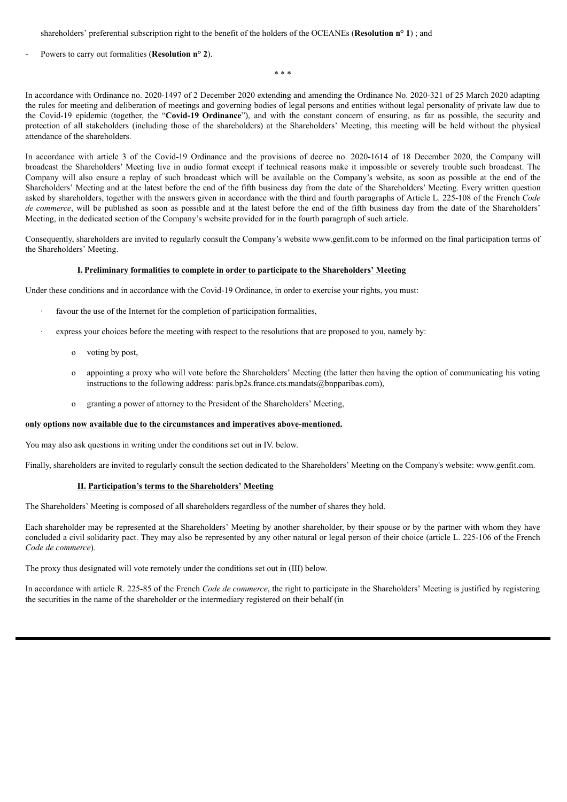shareholders' preferential subscription right to the benefit of the holders of the OCEANEs (**Resolution n° 1**) ; and

- Powers to carry out formalities (**Resolution n° 2**).

\* \* \*

In accordance with Ordinance no. 2020-1497 of 2 December 2020 extending and amending the Ordinance No. 2020-321 of 25 March 2020 adapting the rules for meeting and deliberation of meetings and governing bodies of legal persons and entities without legal personality of private law due to the Covid-19 epidemic (together, the "**Covid-19 Ordinance**"), and with the constant concern of ensuring, as far as possible, the security and protection of all stakeholders (including those of the shareholders) at the Shareholders' Meeting, this meeting will be held without the physical attendance of the shareholders.

In accordance with article 3 of the Covid-19 Ordinance and the provisions of decree no. 2020-1614 of 18 December 2020, the Company will broadcast the Shareholders' Meeting live in audio format except if technical reasons make it impossible or severely trouble such broadcast. The Company will also ensure a replay of such broadcast which will be available on the Company's website, as soon as possible at the end of the Shareholders' Meeting and at the latest before the end of the fifth business day from the date of the Shareholders' Meeting. Every written question asked by shareholders, together with the answers given in accordance with the third and fourth paragraphs of Article L. 225-108 of the French *Code de commerce*, will be published as soon as possible and at the latest before the end of the fifth business day from the date of the Shareholders' Meeting, in the dedicated section of the Company's website provided for in the fourth paragraph of such article.

Consequently, shareholders are invited to regularly consult the Company's website www.genfit.com to be informed on the final participation terms of the Shareholders' Meeting.

#### **I. Preliminary formalities to complete in order to participate to the Shareholders' Meeting**

Under these conditions and in accordance with the Covid-19 Ordinance, in order to exercise your rights, you must:

- · favour the use of the Internet for the completion of participation formalities,
- express your choices before the meeting with respect to the resolutions that are proposed to you, namely by:
	- o voting by post,
	- o appointing a proxy who will vote before the Shareholders' Meeting (the latter then having the option of communicating his voting instructions to the following address: paris.bp2s.france.cts.mandats@bnpparibas.com),
	- granting a power of attorney to the President of the Shareholders' Meeting,

#### **only options now available due to the circumstances and imperatives above-mentioned.**

You may also ask questions in writing under the conditions set out in IV. below.

Finally, shareholders are invited to regularly consult the section dedicated to the Shareholders' Meeting on the Company's website: www.genfit.com.

#### **II. Participation's terms to the Shareholders' Meeting**

The Shareholders' Meeting is composed of all shareholders regardless of the number of shares they hold.

Each shareholder may be represented at the Shareholders' Meeting by another shareholder, by their spouse or by the partner with whom they have concluded a civil solidarity pact. They may also be represented by any other natural or legal person of their choice (article L. 225-106 of the French *Code de commerce*).

The proxy thus designated will vote remotely under the conditions set out in (III) below.

In accordance with article R. 225-85 of the French *Code de commerce*, the right to participate in the Shareholders' Meeting is justified by registering the securities in the name of the shareholder or the intermediary registered on their behalf (in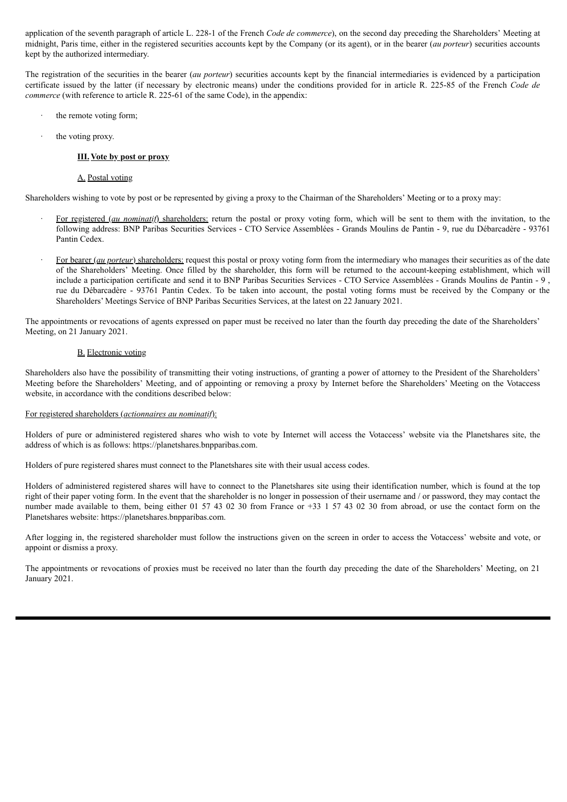application of the seventh paragraph of article L. 228-1 of the French *Code de commerce*), on the second day preceding the Shareholders' Meeting at midnight, Paris time, either in the registered securities accounts kept by the Company (or its agent), or in the bearer (*au porteur*) securities accounts kept by the authorized intermediary.

The registration of the securities in the bearer (*au porteur*) securities accounts kept by the financial intermediaries is evidenced by a participation certificate issued by the latter (if necessary by electronic means) under the conditions provided for in article R. 225-85 of the French *Code de commerce* (with reference to article R. 225-61 of the same Code), in the appendix:

- the remote voting form;
- the voting proxy.

## **III. Vote by post or proxy**

#### A. Postal voting

Shareholders wishing to vote by post or be represented by giving a proxy to the Chairman of the Shareholders' Meeting or to a proxy may:

- For registered *(au nominatif)* shareholders: return the postal or proxy voting form, which will be sent to them with the invitation, to the following address: BNP Paribas Securities Services - CTO Service Assemblées - Grands Moulins de Pantin - 9, rue du Débarcadère - 93761 Pantin Cedex.
- For bearer (*au porteur*) shareholders: request this postal or proxy voting form from the intermediary who manages their securities as of the date of the Shareholders' Meeting. Once filled by the shareholder, this form will be returned to the account-keeping establishment, which will include a participation certificate and send it to BNP Paribas Securities Services - CTO Service Assemblées - Grands Moulins de Pantin - 9 , rue du Débarcadère - 93761 Pantin Cedex. To be taken into account, the postal voting forms must be received by the Company or the Shareholders' Meetings Service of BNP Paribas Securities Services, at the latest on 22 January 2021.

The appointments or revocations of agents expressed on paper must be received no later than the fourth day preceding the date of the Shareholders' Meeting, on 21 January 2021.

### B. Electronic voting

Shareholders also have the possibility of transmitting their voting instructions, of granting a power of attorney to the President of the Shareholders' Meeting before the Shareholders' Meeting, and of appointing or removing a proxy by Internet before the Shareholders' Meeting on the Votaccess website, in accordance with the conditions described below:

#### For registered shareholders (*actionnaires au nominatif*):

Holders of pure or administered registered shares who wish to vote by Internet will access the Votaccess' website via the Planetshares site, the address of which is as follows: https://planetshares.bnpparibas.com.

Holders of pure registered shares must connect to the Planetshares site with their usual access codes.

Holders of administered registered shares will have to connect to the Planetshares site using their identification number, which is found at the top right of their paper voting form. In the event that the shareholder is no longer in possession of their username and / or password, they may contact the number made available to them, being either 01 57 43 02 30 from France or +33 1 57 43 02 30 from abroad, or use the contact form on the Planetshares website: https://planetshares.bnpparibas.com.

After logging in, the registered shareholder must follow the instructions given on the screen in order to access the Votaccess' website and vote, or appoint or dismiss a proxy.

The appointments or revocations of proxies must be received no later than the fourth day preceding the date of the Shareholders' Meeting, on 21 January 2021.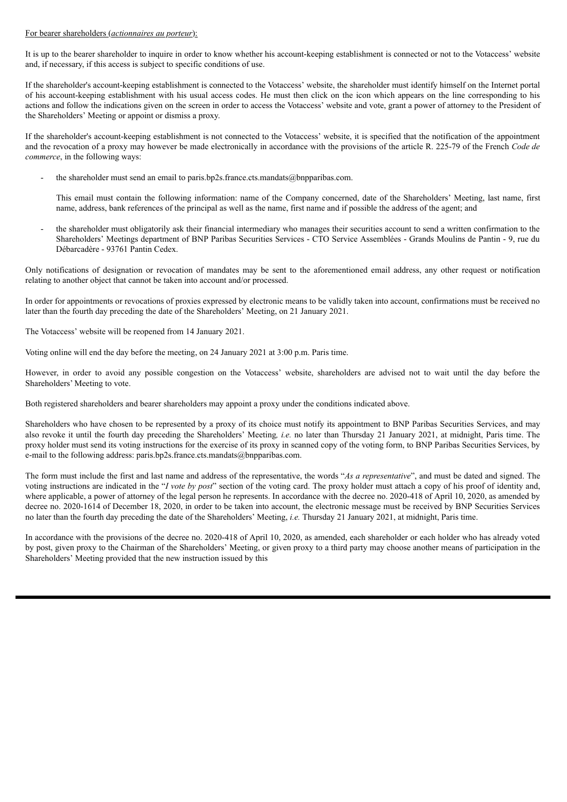## For bearer shareholders (*actionnaires au porteur*):

It is up to the bearer shareholder to inquire in order to know whether his account-keeping establishment is connected or not to the Votaccess' website and, if necessary, if this access is subject to specific conditions of use.

If the shareholder's account-keeping establishment is connected to the Votaccess' website, the shareholder must identify himself on the Internet portal of his account-keeping establishment with his usual access codes. He must then click on the icon which appears on the line corresponding to his actions and follow the indications given on the screen in order to access the Votaccess' website and vote, grant a power of attorney to the President of the Shareholders' Meeting or appoint or dismiss a proxy.

If the shareholder's account-keeping establishment is not connected to the Votaccess' website, it is specified that the notification of the appointment and the revocation of a proxy may however be made electronically in accordance with the provisions of the article R. 225-79 of the French *Code de commerce*, in the following ways:

the shareholder must send an email to paris.bp2s.france.cts.mandats@bnpparibas.com.

This email must contain the following information: name of the Company concerned, date of the Shareholders' Meeting, last name, first name, address, bank references of the principal as well as the name, first name and if possible the address of the agent; and

- the shareholder must obligatorily ask their financial intermediary who manages their securities account to send a written confirmation to the Shareholders' Meetings department of BNP Paribas Securities Services - CTO Service Assemblées - Grands Moulins de Pantin - 9, rue du Débarcadère - 93761 Pantin Cedex.

Only notifications of designation or revocation of mandates may be sent to the aforementioned email address, any other request or notification relating to another object that cannot be taken into account and/or processed.

In order for appointments or revocations of proxies expressed by electronic means to be validly taken into account, confirmations must be received no later than the fourth day preceding the date of the Shareholders' Meeting, on 21 January 2021.

The Votaccess' website will be reopened from 14 January 2021.

Voting online will end the day before the meeting, on 24 January 2021 at 3:00 p.m. Paris time.

However, in order to avoid any possible congestion on the Votaccess' website, shareholders are advised not to wait until the day before the Shareholders' Meeting to vote.

Both registered shareholders and bearer shareholders may appoint a proxy under the conditions indicated above.

Shareholders who have chosen to be represented by a proxy of its choice must notify its appointment to BNP Paribas Securities Services, and may also revoke it until the fourth day preceding the Shareholders' Meeting*, i.e.* no later than Thursday 21 January 2021, at midnight, Paris time. The proxy holder must send its voting instructions for the exercise of its proxy in scanned copy of the voting form, to BNP Paribas Securities Services, by e-mail to the following address: paris.bp2s.france.cts.mandats@bnpparibas.com.

The form must include the first and last name and address of the representative, the words "*As a representative*", and must be dated and signed. The voting instructions are indicated in the "*I vote by post*" section of the voting card. The proxy holder must attach a copy of his proof of identity and, where applicable, a power of attorney of the legal person he represents. In accordance with the decree no. 2020-418 of April 10, 2020, as amended by decree no. 2020-1614 of December 18, 2020, in order to be taken into account, the electronic message must be received by BNP Securities Services no later than the fourth day preceding the date of the Shareholders' Meeting, *i.e.* Thursday 21 January 2021, at midnight, Paris time.

In accordance with the provisions of the decree no. 2020-418 of April 10, 2020, as amended, each shareholder or each holder who has already voted by post, given proxy to the Chairman of the Shareholders' Meeting, or given proxy to a third party may choose another means of participation in the Shareholders' Meeting provided that the new instruction issued by this